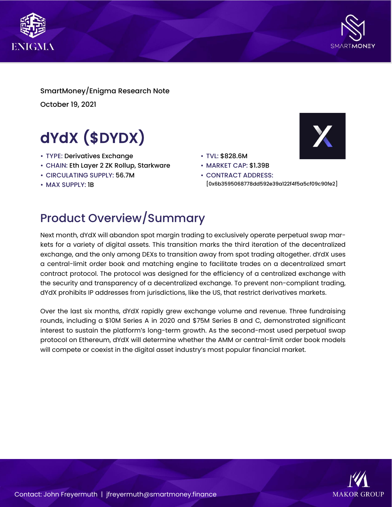



SmartMoney/Enigma Research Note October 19, 2021

# dYdX (\$DYDX)

- TYPE: Derivatives Exchange
- CHAIN: Eth Layer 2 ZK Rollup, Starkware
- CIRCULATING SUPPLY: 56.7M
- MAX SUPPLY: 1B
- TVL: \$828.6M
- MARKET CAP: \$1.39B
- CONTRACT ADDRESS: [0x6b3595068778dd592e39a122f4f5a5cf09c90fe2]

X

### Product Overview/Summary

Next month, dYdX will abandon spot margin trading to exclusively operate perpetual swap markets for a variety of digital assets. This transition marks the third iteration of the decentralized exchange, and the only among DEXs to transition away from spot trading altogether. dYdX uses a central-limit order book and matching engine to facilitate trades on a decentralized smart contract protocol. The protocol was designed for the efficiency of a centralized exchange with the security and transparency of a decentralized exchange. To prevent non-compliant trading, dYdX prohibits IP addresses from jurisdictions, like the US, that restrict derivatives markets.

Over the last six months, dYdX rapidly grew exchange volume and revenue. Three fundraising rounds, including a \$10M Series A in 2020 and \$75M Series B and C, demonstrated significant interest to sustain the platform's long-term growth. As the second-most used perpetual swap protocol on Ethereum, dYdX will determine whether the AMM or central-limit order book models will compete or coexist in the digital asset industry's most popular financial market.

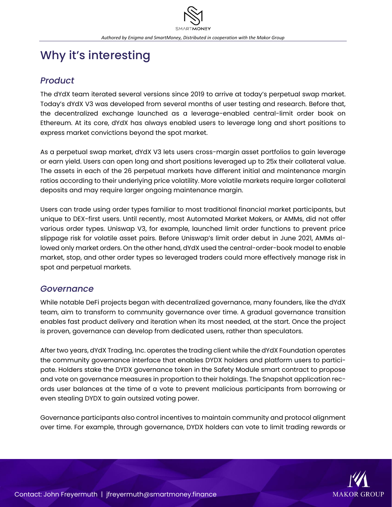## Why it's interesting

#### *Product*

The dYdX team iterated several versions since 2019 to arrive at today's perpetual swap market. Today's dYdX V3 was developed from several months of user testing and research. Before that, the decentralized exchange launched as a leverage-enabled central-limit order book on Ethereum. At its core, dYdX has always enabled users to leverage long and short positions to express market convictions beyond the spot market.

As a perpetual swap market, dYdX V3 lets users cross-margin asset portfolios to gain leverage or earn yield. Users can open long and short positions leveraged up to 25x their collateral value. The assets in each of the 26 perpetual markets have different initial and maintenance margin ratios according to their underlying price volatility. More volatile markets require larger collateral deposits and may require larger ongoing maintenance margin.

Users can trade using order types familiar to most traditional financial market participants, but unique to DEX-first users. Until recently, most Automated Market Makers, or AMMs, did not offer various order types. Uniswap V3, for example, launched limit order functions to prevent price slippage risk for volatile asset pairs. Before Uniswap's limit order debut in June 2021, AMMs allowed only market orders. On the other hand, dYdX used the central-order-book model to enable market, stop, and other order types so leveraged traders could more effectively manage risk in spot and perpetual markets.

#### *Governance*

While notable DeFi projects began with decentralized governance, many founders, like the dYdX team, aim to transform to community governance over time. A gradual governance transition enables fast product delivery and iteration when its most needed, at the start. Once the project is proven, governance can develop from dedicated users, rather than speculators.

After two years, dYdX Trading, Inc. operates the trading client while the dYdX Foundation operates the community governance interface that enables DYDX holders and platform users to participate. Holders stake the DYDX governance token in the Safety Module smart contract to propose and vote on governance measures in proportion to their holdings. The Snapshot application records user balances at the time of a vote to prevent malicious participants from borrowing or even stealing DYDX to gain outsized voting power.

Governance participants also control incentives to maintain community and protocol alignment over time. For example, through governance, DYDX holders can vote to limit trading rewards or

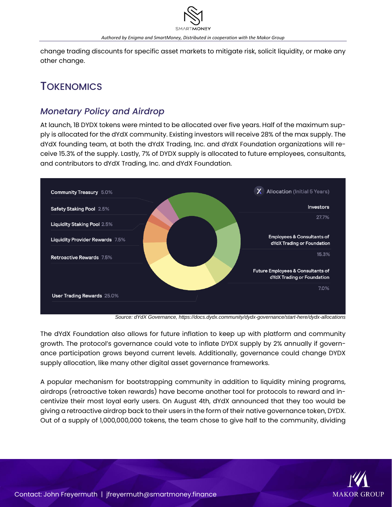change trading discounts for specific asset markets to mitigate risk, solicit liquidity, or make any other change.

### **TOKENOMICS**

### *Monetary Policy and Airdrop*

At launch, 1B DYDX tokens were minted to be allocated over five years. Half of the maximum supply is allocated for the dYdX community. Existing investors will receive 28% of the max supply. The dYdX founding team, at both the dYdX Trading, Inc. and dYdX Foundation organizations will receive 15.3% of the supply. Lastly, 7% of DYDX supply is allocated to future employees, consultants, and contributors to dYdX Trading, Inc. and dYdX Foundation.



*Source: dYdX Governance, https://docs.dydx.community/dydx-governance/start-here/dydx-allocations*

The dYdX Foundation also allows for future inflation to keep up with platform and community growth. The protocol's governance could vote to inflate DYDX supply by 2% annually if governance participation grows beyond current levels. Additionally, governance could change DYDX supply allocation, like many other digital asset governance frameworks.

A popular mechanism for bootstrapping community in addition to liquidity mining programs, airdrops (retroactive token rewards) have become another tool for protocols to reward and incentivize their most loyal early users. On August 4th, dYdX announced that they too would be giving a retroactive airdrop back to their users in the form of their native governance token, DYDX. Out of a supply of 1,000,000,000 tokens, the team chose to give half to the community, dividing

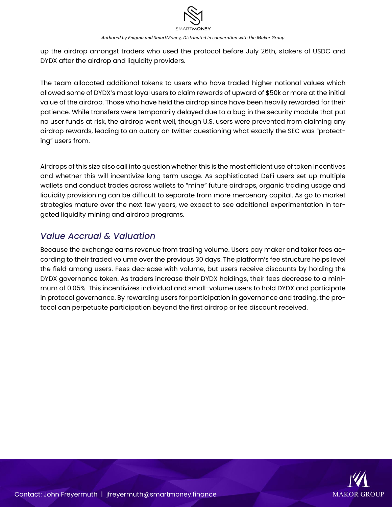up the airdrop amongst traders who used the protocol before July 26th, stakers of USDC and DYDX after the airdrop and liquidity providers.

The team allocated additional tokens to users who have traded higher notional values which allowed some of DYDX's most loyal users to claim rewards of upward of \$50k or more at the initial value of the airdrop. Those who have held the airdrop since have been heavily rewarded for their patience. While transfers were temporarily delayed due to a bug in the security module that put no user funds at risk, the airdrop went well, though U.S. users were prevented from claiming any airdrop rewards, leading to an outcry on twitter questioning what exactly the SEC was "protecting" users from.

Airdrops of this size also call into question whether this is the most efficient use of token incentives and whether this will incentivize long term usage. As sophisticated DeFi users set up multiple wallets and conduct trades across wallets to "mine" future airdrops, organic trading usage and liquidity provisioning can be difficult to separate from more mercenary capital. As go to market strategies mature over the next few years, we expect to see additional experimentation in targeted liquidity mining and airdrop programs.

### *Value Accrual & Valuation*

Because the exchange earns revenue from trading volume. Users pay maker and taker fees according to their traded volume over the previous 30 days. The platform's fee structure helps level the field among users. Fees decrease with volume, but users receive discounts by holding the DYDX governance token. As traders increase their DYDX holdings, their fees decrease to a minimum of 0.05%. This incentivizes individual and small-volume users to hold DYDX and participate in protocol governance. By rewarding users for participation in governance and trading, the protocol can perpetuate participation beyond the first airdrop or fee discount received.

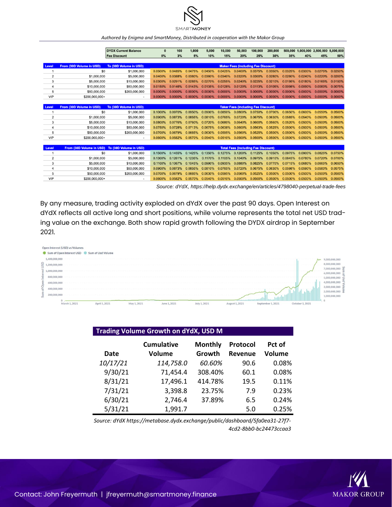

#### *Authored by Enigma and SmartMoney, Distributed in cooperation with the Makor Group*

|                |                                                 | <b>DYDX Current Balance</b> | $\bf{0}$                                   | 100     | 1.000   | 5.000   | 10.000     | 50.000                                     | 100.000    | 200,000 |         |         | 500.000 1.000.000 2.500.000 5.000.000 |         |
|----------------|-------------------------------------------------|-----------------------------|--------------------------------------------|---------|---------|---------|------------|--------------------------------------------|------------|---------|---------|---------|---------------------------------------|---------|
|                |                                                 | <b>Fee Discount</b>         | 0%                                         | 3%      | 5%      | 10%     | 15%        | 20%                                        | 25%        | 30%     | 35%     | 40%     | 45%                                   | 50%     |
|                |                                                 |                             |                                            |         |         |         |            |                                            |            |         |         |         |                                       |         |
| Level          | From (30D Volume in USD)                        | To (30D Volume in USD)      |                                            |         |         |         |            | <b>Maker Fees (including Fee Discount)</b> |            |         |         |         |                                       |         |
|                | \$0                                             | \$1,000,000                 | 0.0500%                                    | 0.0485% | 0.0475% | 0.0450% | 0.0425%    | 0.0400%                                    | 0.0375%    | 0.0350% | 0.0325% | 0.0300% | 0.0275%                               | 0.0250% |
| $\overline{2}$ | \$1,000,000                                     | \$5,000,000                 | 0.0400%                                    | 0.0388% | 0.0380% | 0.0360% | 0.0340%    | 0.0320%                                    | 0.0300%    | 0.0280% | 0.0260% | 0.0240% | 0.0220%                               | 0.0200% |
| 3              | \$5,000,000                                     | \$10,000,000                | 0.0300%                                    | 0.0291% | 0.0285% | 0.0270% | 0.0255%    | 0.0240%                                    | 0.0225%    | 0.0210% | 0.0195% | 0.0180% | 0.0165%                               | 0.0150% |
| 4              | \$10,000,000                                    | \$50,000,000                | 0.0150%                                    | 0.0146% | 0.0143% | 0.0135% | 0.0128%    | 0.0120%                                    | 0.0113%    | 0.0105% | 0.0098% | 0.0090% | 0.0083%                               | 0.0075% |
| 5              | \$50,000,000                                    | \$200,000,000               | 0.0000%                                    | 0.0000% | 0.0000% | 0.0000% | 0.0000%    | 0.0000%                                    | 0.0000%    | 0.0000% | 0.0000% | 0.0000% | 0.0000%                               | 0.0000% |
| <b>VIP</b>     | \$200,000,000+                                  |                             | 0.0000%                                    | 0.0000% | 0.0000% | 0.0000% | $0.0000\%$ | 0.0000%                                    | $0.0000\%$ | 0.0000% | 0.0000% | 0.0000% | 0.0000%                               | 0.0000% |
|                |                                                 |                             |                                            |         |         |         |            |                                            |            |         |         |         |                                       |         |
| Level          | From (30D Volume in USD)                        | To (30D Volume in USD)      |                                            |         |         |         |            | <b>Taker Fees (including Fee Discount)</b> |            |         |         |         |                                       |         |
|                | \$0                                             | \$1,000,000                 | 0.1000%                                    | 0.0970% | 0.0950% | 0.0900% | 0.0850%    | $0.0800\%$                                 | 0.0750%    | 0.0700% | 0.0650% | 0.0600% | 0.0550%                               | 0.0500% |
| 2              | \$1,000,000                                     | \$5,000,000                 | 0.0900%                                    | 0.0873% | 0.0855% | 0.0810% | 0.0765%    | 0.0720%                                    | 0.0675%    | 0.0630% | 0.0585% | 0.0540% | 0.0500%                               | 0.0500% |
| 3              | \$5,000,000                                     | \$10,000,000                | 0.0800%                                    | 0.0776% | 0.0760% | 0.0720% | 0.0680%    | 0.0640%                                    | 0.0600%    | 0.0560% | 0.0520% | 0.0500% | 0.0500%                               | 0.0500% |
| 4              | \$10,000,000                                    | \$50,000,000                | 0.0750%                                    | 0.0728% | 0.0713% | 0.0675% | 0.0638%    | 0.0600%                                    | 0.0563%    | 0.0525% | 0.0500% | 0.0500% | 0.0500%                               | 0.0500% |
| 5              | \$50,000,000                                    | \$200,000,000               | 0.0700%                                    | 0.0679% | 0.0665% | 0.0630% | 0.0595%    | 0.0560%                                    | 0.0525%    | 0.0500% | 0.0500% | 0.0500% | 0.0500%                               | 0.0500% |
| VIP            | \$200,000,000+                                  | $\overline{\phantom{a}}$    | 0.0600%                                    | 0.0582% | 0.0570% | 0.0540% | 0.0510%    | 0.0500%                                    | 0.0500%    | 0.0500% | 0.0500% | 0.0500% | 0.0500%                               | 0.0500% |
|                |                                                 |                             |                                            |         |         |         |            |                                            |            |         |         |         |                                       |         |
| Level          | From (30D Volume in USD) To (30D Volume in USD) |                             | <b>Total Fees (including Fee Discount)</b> |         |         |         |            |                                            |            |         |         |         |                                       |         |
| 1              | \$0                                             | \$1,000,000                 | 0.1500%                                    | 0.1455% | 0.1425% | 0.1350% | 0.1275%    | 0.1200%                                    | 0.1125%    | 0.1050% | 0.0975% | 0.0900% | 0.0825%                               | 0.0750% |
| $\overline{2}$ | \$1,000,000                                     | \$5,000,000                 | 0.1300%                                    | 0.1261% | 0.1235% | 0.1170% | 0.1105%    | 0.1040%                                    | 0.0975%    | 0.0910% | 0.0845% | 0.0780% | 0.0720%                               | 0.0700% |
| 3              | \$5,000,000                                     | \$10,000,000                | 0.1100%                                    | 0.1067% | 0.1045% | 0.0990% | 0.0935%    | 0.0880%                                    | 0.0825%    | 0.0770% | 0.0715% | 0.0680% | 0.0665%                               | 0.0650% |
| 4              | \$10,000,000                                    | \$50,000,000                | 0.0900%                                    | 0.0873% | 0.0855% | 0.0810% | 0.0765%    | 0.0720%                                    | 0.0675%    | 0.0630% | 0.0598% | 0.0590% | 0.0583%                               | 0.0575% |
| 5              | \$50,000,000                                    | \$200,000,000               | 0.0700%                                    | 0.0679% | 0.0665% | 0.0630% | 0.0595%    | 0.0560%                                    | 0.0525%    | 0.0500% | 0.0500% | 0.0500% | 0.0500%                               | 0.0500% |
| VIP            | \$200,000,000+                                  |                             | 0.0600%                                    | 0.0582% | 0.0570% | 0.0540% | 0.0510%    | 0.0500%                                    | 0.0500%    | 0.0500% | 0.0500% | 0.0500% | 0.0500%                               | 0.0500% |

*Source: dYdX, https://help.dydx.exchange/en/articles/4798040-perpetual-trade-fees*

By any measure, trading activity exploded on dYdX over the past 90 days. Open Interest on dYdX reflects all active long and short positions, while volume represents the total net USD trading value on the exchange. Both show rapid growth following the DYDX airdrop in September 2021.



| Trading Volume Growth on dYdX, USD M |                                    |         |                     |                         |  |  |  |  |  |
|--------------------------------------|------------------------------------|---------|---------------------|-------------------------|--|--|--|--|--|
| <b>Date</b>                          | <b>Cumulative</b><br><b>Volume</b> |         | Protocol<br>Revenue | Pct of<br><b>Volume</b> |  |  |  |  |  |
|                                      |                                    | Growth  |                     |                         |  |  |  |  |  |
| 10/17/21                             | 114,758.0                          | 60.60%  | 90.6                | 0.08%                   |  |  |  |  |  |
| 9/30/21                              | 71,454.4                           | 308.40% | 60.1                | 0.08%                   |  |  |  |  |  |
| 8/31/21                              | 17,496.1                           | 414.78% | 19.5                | 0.11%                   |  |  |  |  |  |
| 7/31/21                              | 3,398.8                            | 23.75%  | 7.9                 | 0.23%                   |  |  |  |  |  |
| 6/30/21                              | 2,746.4                            | 37.89%  | 6.5                 | 0.24%                   |  |  |  |  |  |
| 5/31/21                              | 1,991.7                            |         | 5.0                 | 0.25%                   |  |  |  |  |  |

*Source: dYdX https://metabase.dydx.exchange/public/dashboard/5fa0ea31-27f7- 4cd2-8bb0-bc24473ccaa3*

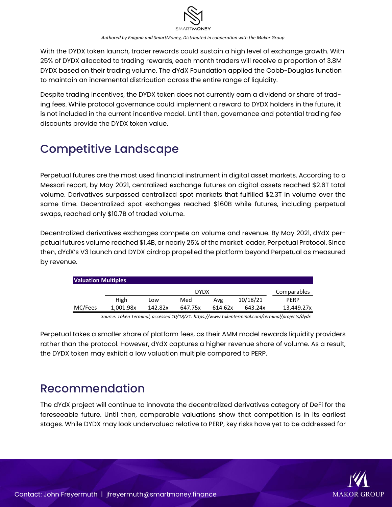With the DYDX token launch, trader rewards could sustain a high level of exchange growth. With 25% of DYDX allocated to trading rewards, each month traders will receive a proportion of 3.8M DYDX based on their trading volume. The dYdX Foundation applied the Cobb-Douglas function to maintain an incremental distribution across the entire range of liquidity.

Despite trading incentives, the DYDX token does not currently earn a dividend or share of trading fees. While protocol governance could implement a reward to DYDX holders in the future, it is not included in the current incentive model. Until then, governance and potential trading fee discounts provide the DYDX token value.

# Competitive Landscape

Perpetual futures are the most used financial instrument in digital asset markets. According to a Messari report, by May 2021, centralized exchange futures on digital assets reached \$2.6T total volume. Derivatives surpassed centralized spot markets that fulfilled \$2.3T in volume over the same time. Decentralized spot exchanges reached \$160B while futures, including perpetual swaps, reached only \$10.7B of traded volume.

Decentralized derivatives exchanges compete on volume and revenue. By May 2021, dYdX perpetual futures volume reached \$1.4B, or nearly 25% of the market leader, Perpetual Protocol. Since then, dYdX's V3 launch and DYDX airdrop propelled the platform beyond Perpetual as measured by revenue.

| <b>Valuation Multiples</b> |           |             |         |         |          |            |  |  |  |  |  |
|----------------------------|-----------|-------------|---------|---------|----------|------------|--|--|--|--|--|
|                            |           | Comparables |         |         |          |            |  |  |  |  |  |
|                            | High      | Low         | Med     | Avg     | 10/18/21 | PFRP       |  |  |  |  |  |
| MC/Fees                    | 1.001.98x | 142.82x     | 647.75x | 614.62x | 643.24x  | 13.449.27x |  |  |  |  |  |

*Source: Token Terminal, accessed 10/18/21: https://www.tokenterminal.com/terminal/projects/dydx*

Perpetual takes a smaller share of platform fees, as their AMM model rewards liquidity providers rather than the protocol. However, dYdX captures a higher revenue share of volume. As a result, the DYDX token may exhibit a low valuation multiple compared to PERP.

### Recommendation

The dYdX project will continue to innovate the decentralized derivatives category of DeFi for the foreseeable future. Until then, comparable valuations show that competition is in its earliest stages. While DYDX may look undervalued relative to PERP, key risks have yet to be addressed for

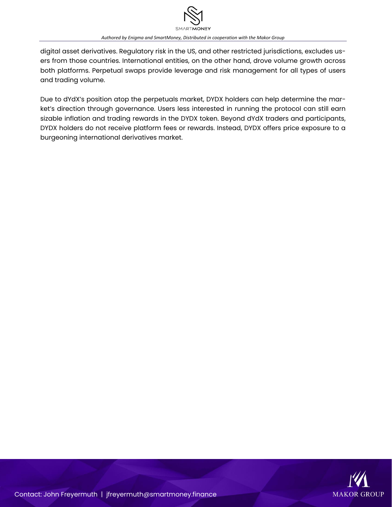

digital asset derivatives. Regulatory risk in the US, and other restricted jurisdictions, excludes users from those countries. International entities, on the other hand, drove volume growth across both platforms. Perpetual swaps provide leverage and risk management for all types of users and trading volume.

Due to dYdX's position atop the perpetuals market, DYDX holders can help determine the market's direction through governance. Users less interested in running the protocol can still earn sizable inflation and trading rewards in the DYDX token. Beyond dYdX traders and participants, DYDX holders do not receive platform fees or rewards. Instead, DYDX offers price exposure to a burgeoning international derivatives market.